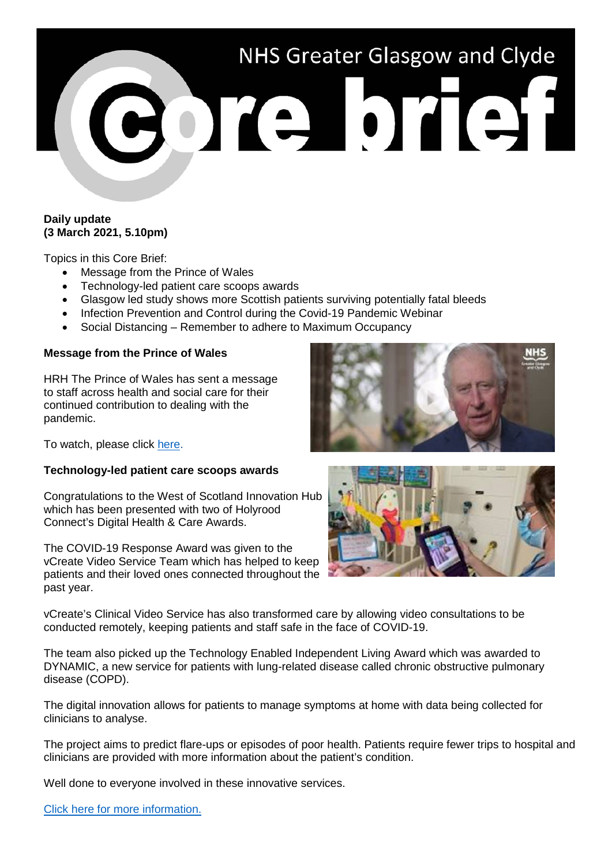# NHS Greater Glasgow and Clyde Porte brief

## **Daily update (3 March 2021, 5.10pm)**

Topics in this Core Brief:

- Message from the Prince of Wales
- Technology-led patient care scoops awards
- Glasgow led study shows more Scottish patients surviving potentially fatal bleeds
- Infection Prevention and Control during the Covid-19 Pandemic Webinar
- Social Distancing Remember to adhere to Maximum Occupancy

# **Message from the Prince of Wales**

HRH The Prince of Wales has sent a message to staff across health and social care for their continued contribution to dealing with the pandemic.

To watch, please click [here.](https://www.youtube.com/watch?v=6KlLljdIz1c)

#### **Technology-led patient care scoops awards**

Congratulations to the West of Scotland Innovation Hub which has been presented with two of Holyrood Connect's Digital Health & Care Awards.

The COVID-19 Response Award was given to the vCreate Video Service Team which has helped to keep patients and their loved ones connected throughout the past year.

vCreate's Clinical Video Service has also transformed care by allowing video consultations to be conducted remotely, keeping patients and staff safe in the face of COVID-19.

The team also picked up the Technology Enabled Independent Living Award which was awarded to DYNAMIC, a new service for patients with lung-related disease called chronic obstructive pulmonary disease (COPD).

The digital innovation allows for patients to manage symptoms at home with data being collected for clinicians to analyse.

The project aims to predict flare-ups or episodes of poor health. Patients require fewer trips to hospital and clinicians are provided with more information about the patient's condition.

Well done to everyone involved in these innovative services.



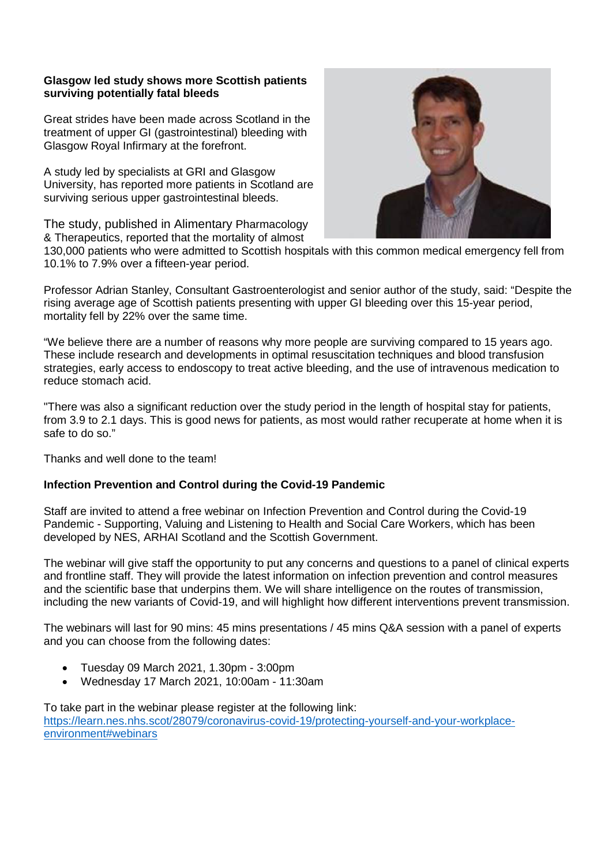## **Glasgow led study shows more Scottish patients surviving potentially fatal bleeds**

Great strides have been made across Scotland in the treatment of upper GI (gastrointestinal) bleeding with Glasgow Royal Infirmary at the forefront.

A study led by specialists at GRI and Glasgow University, has reported more patients in Scotland are surviving serious upper gastrointestinal bleeds.

The study, published in Alimentary Pharmacology & Therapeutics, reported that the mortality of almost



130,000 patients who were admitted to Scottish hospitals with this common medical emergency fell from 10.1% to 7.9% over a fifteen-year period.

Professor Adrian Stanley, Consultant Gastroenterologist and senior author of the study, said: "Despite the rising average age of Scottish patients presenting with upper GI bleeding over this 15-year period, mortality fell by 22% over the same time.

"We believe there are a number of reasons why more people are surviving compared to 15 years ago. These include research and developments in optimal resuscitation techniques and blood transfusion strategies, early access to endoscopy to treat active bleeding, and the use of intravenous medication to reduce stomach acid.

"There was also a significant reduction over the study period in the length of hospital stay for patients, from 3.9 to 2.1 days. This is good news for patients, as most would rather recuperate at home when it is safe to do so."

Thanks and well done to the team!

# **Infection Prevention and Control during the Covid-19 Pandemic**

Staff are invited to attend a free webinar on Infection Prevention and Control during the Covid-19 Pandemic - Supporting, Valuing and Listening to Health and Social Care Workers, which has been developed by NES, ARHAI Scotland and the Scottish Government.

The webinar will give staff the opportunity to put any concerns and questions to a panel of clinical experts and frontline staff. They will provide the latest information on infection prevention and control measures and the scientific base that underpins them. We will share intelligence on the routes of transmission, including the new variants of Covid-19, and will highlight how different interventions prevent transmission.

The webinars will last for 90 mins: 45 mins presentations / 45 mins Q&A session with a panel of experts and you can choose from the following dates:

- Tuesday 09 March 2021, 1.30pm 3:00pm
- Wednesday 17 March 2021, 10:00am 11:30am

To take part in the webinar please register at the following link: [https://learn.nes.nhs.scot/28079/coronavirus-covid-19/protecting-yourself-and-your-workplace](https://learn.nes.nhs.scot/28079/coronavirus-covid-19/protecting-yourself-and-your-workplace-environment#webinars)[environment#webinars](https://learn.nes.nhs.scot/28079/coronavirus-covid-19/protecting-yourself-and-your-workplace-environment#webinars)